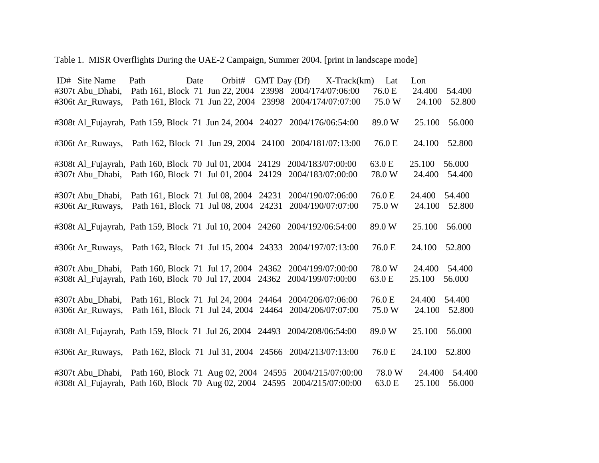## Table 1. MISR Overflights During the UAE-2 Campaign, Summer 2004. [print in landscape mode]

| ID# Site Name                                                                                                                                          | Path                                                                           | Orbit#<br>Date | GMT Day (Df) | $X-Track(km)$                                                                                                                                          | Lat              | Lon                                  |
|--------------------------------------------------------------------------------------------------------------------------------------------------------|--------------------------------------------------------------------------------|----------------|--------------|--------------------------------------------------------------------------------------------------------------------------------------------------------|------------------|--------------------------------------|
| #307t Abu_Dhabi,                                                                                                                                       |                                                                                |                |              | Path 161, Block 71 Jun 22, 2004 23998 2004/174/07:06:00                                                                                                | 76.0 E           | 24.400<br>54.400                     |
| #306t Ar_Ruways,                                                                                                                                       |                                                                                |                |              | Path 161, Block 71 Jun 22, 2004 23998 2004/174/07:07:00                                                                                                | 75.0 W           | 24.100<br>52.800                     |
|                                                                                                                                                        |                                                                                |                |              | #308t Al_Fujayrah, Path 159, Block 71 Jun 24, 2004 24027 2004/176/06:54:00                                                                             | 89.0W            | 25.100<br>56.000                     |
| #306t Ar_Ruways,                                                                                                                                       |                                                                                |                |              | Path 162, Block 71 Jun 29, 2004 24100 2004/181/07:13:00                                                                                                | 76.0 E           | 24.100<br>52.800                     |
| #308t Al_Fujayrah, Path 160, Block 70 Jul 01, 2004 24129 2004/183/07:00:00<br>#307t Abu_Dhabi, Path 160, Block 71 Jul 01, 2004 24129 2004/183/07:00:00 |                                                                                |                |              |                                                                                                                                                        | 63.0 E<br>78.0 W | 25.100<br>56.000<br>24.400<br>54.400 |
| #307t Abu_Dhabi,<br>#306t Ar Ruways,                                                                                                                   | Path 161, Block 71 Jul 08, 2004 24231<br>Path 161, Block 71 Jul 08, 2004 24231 |                |              | 2004/190/07:06:00<br>2004/190/07:07:00                                                                                                                 | 76.0 E<br>75.0 W | 24.400<br>54.400<br>24.100<br>52.800 |
| #308t Al_Fujayrah, Path 159, Block 71 Jul 10, 2004 24260 2004/192/06:54:00                                                                             |                                                                                |                |              |                                                                                                                                                        | 89.0W            | 56.000<br>25.100                     |
|                                                                                                                                                        |                                                                                |                |              | #306t Ar Ruways, Path 162, Block 71 Jul 15, 2004 24333 2004/197/07:13:00                                                                               | 76.0 E           | 24.100<br>52.800                     |
| #308t Al_Fujayrah, Path 160, Block 70 Jul 17, 2004 24362 2004/199/07:00:00                                                                             |                                                                                |                |              | #307t Abu_Dhabi, Path 160, Block 71 Jul 17, 2004 24362 2004/199/07:00:00                                                                               | 78.0 W<br>63.0 E | 24.400<br>54.400<br>25.100<br>56.000 |
| #307t Abu Dhabi,<br>#306t Ar Ruways,                                                                                                                   |                                                                                |                |              | Path 161, Block 71 Jul 24, 2004 24464 2004/206/07:06:00<br>Path 161, Block 71 Jul 24, 2004 24464 2004/206/07:07:00                                     | 76.0 E<br>75.0 W | 54.400<br>24.400<br>24.100<br>52.800 |
| #308t Al_Fujayrah, Path 159, Block 71 Jul 26, 2004 24493 2004/208/06:54:00                                                                             |                                                                                |                |              |                                                                                                                                                        | 89.0W            | 25.100<br>56.000                     |
| #306t Ar_Ruways,                                                                                                                                       |                                                                                |                |              | Path 162, Block 71 Jul 31, 2004 24566 2004/213/07:13:00                                                                                                | 76.0 E           | 52.800<br>24.100                     |
|                                                                                                                                                        |                                                                                |                |              | #307t Abu Dhabi, Path 160, Block 71 Aug 02, 2004 24595 2004/215/07:00:00<br>#308t Al_Fujayrah, Path 160, Block 70 Aug 02, 2004 24595 2004/215/07:00:00 | 78.0 W<br>63.0 E | 24.400<br>54.400<br>25.100<br>56.000 |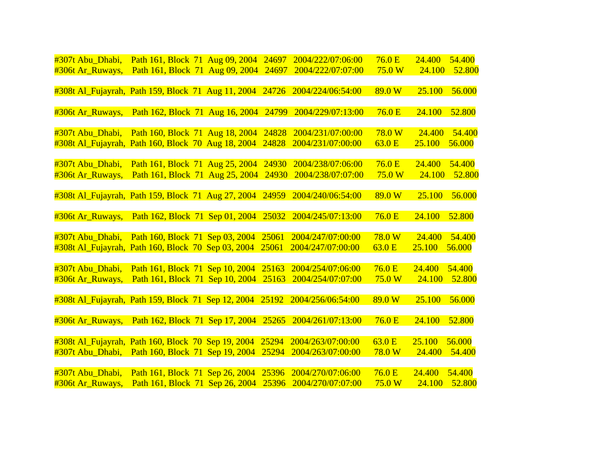| #307t Abu_Dhabi,                                         | Path 161, Block 71 Aug 09, 2004       |  | 24697 | 2004/222/07:06:00                                                          | 76.0 <sub>E</sub> | 24.400 | 54.400 |
|----------------------------------------------------------|---------------------------------------|--|-------|----------------------------------------------------------------------------|-------------------|--------|--------|
| #306t Ar_Ruways,                                         | Path 161, Block 71 Aug 09, 2004       |  | 24697 | 2004/222/07:07:00                                                          | 75.0 W            | 24.100 | 52.800 |
|                                                          |                                       |  |       |                                                                            |                   |        |        |
|                                                          |                                       |  |       | #308t Al_Fujayrah, Path 159, Block 71 Aug 11, 2004 24726 2004/224/06:54:00 | 89.0 W            | 25.100 | 56.000 |
|                                                          |                                       |  |       |                                                                            |                   |        |        |
| #306t Ar_Ruways,                                         | Path 162, Block 71 Aug 16, 2004       |  | 24799 | 2004/229/07:13:00                                                          | 76.0 <sub>E</sub> | 24.100 | 52.800 |
|                                                          |                                       |  |       |                                                                            |                   |        |        |
| #307t Abu_Dhabi, Path 160, Block 71 Aug 18, 2004         |                                       |  | 24828 | 2004/231/07:00:00                                                          | 78.0 W            | 24.400 | 54.400 |
| #308t Al Fujayrah, Path 160, Block 70 Aug 18, 2004       |                                       |  | 24828 | 2004/231/07:00:00                                                          | 63.0 E            | 25.100 | 56.000 |
|                                                          |                                       |  |       |                                                                            |                   |        |        |
| #307t Abu Dhabi,                                         | Path 161, Block 71 Aug 25, 2004       |  | 24930 | 2004/238/07:06:00                                                          | 76.0 E            | 24.400 | 54.400 |
| #306t Ar_Ruways,                                         | Path 161, Block 71 Aug 25, 2004       |  | 24930 | 2004/238/07:07:00                                                          | 75.0 W            | 24.100 | 52.800 |
| #308t Al_Fujayrah, Path 159, Block 71 Aug 27, 2004 24959 |                                       |  |       | 2004/240/06:54:00                                                          | 89.0 W            | 25.100 | 56.000 |
|                                                          |                                       |  |       |                                                                            |                   |        |        |
| #306t Ar_Ruways,                                         | Path 162, Block 71 Sep 01, 2004 25032 |  |       | 2004/245/07:13:00                                                          | 76.0 E            | 24.100 | 52.800 |
|                                                          |                                       |  |       |                                                                            |                   |        |        |
| #307t Abu Dhabi, Path 160, Block 71 Sep 03, 2004         |                                       |  | 25061 | 2004/247/07:00:00                                                          | 78.0 W            | 24.400 | 54.400 |
| #308t Al_Fujayrah, Path 160, Block 70 Sep 03, 2004       |                                       |  | 25061 | 2004/247/07:00:00                                                          | 63.0 E            | 25.100 | 56.000 |
|                                                          |                                       |  |       |                                                                            |                   |        |        |
| #307t Abu Dhabi,                                         | Path 161, Block 71 Sep 10, 2004       |  | 25163 | 2004/254/07:06:00                                                          | 76.0 <sub>E</sub> | 24.400 | 54.400 |
| #306t Ar_Ruways,                                         | Path 161, Block 71 Sep 10, 2004       |  | 25163 | 2004/254/07:07:00                                                          | 75.0 W            | 24.100 | 52.800 |
|                                                          |                                       |  |       |                                                                            |                   |        |        |
| #308t Al_Fujayrah, Path 159, Block 71 Sep 12, 2004 25192 |                                       |  |       | 2004/256/06:54:00                                                          | 89.0 W            | 25.100 | 56.000 |
|                                                          |                                       |  |       |                                                                            |                   |        |        |
| #306t Ar_Ruways,                                         | Path 162, Block 71 Sep 17, 2004 25265 |  |       | 2004/261/07:13:00                                                          | 76.0 E            | 24.100 | 52.800 |
|                                                          |                                       |  |       |                                                                            |                   |        |        |
| #308t Al Fujayrah, Path 160, Block 70 Sep 19, 2004       |                                       |  | 25294 | 2004/263/07:00:00                                                          | 63.0 E            | 25.100 | 56.000 |
| #307t Abu_Dhabi, Path 160, Block 71 Sep 19, 2004         |                                       |  | 25294 | 2004/263/07:00:00                                                          | 78.0 W            | 24.400 | 54.400 |
|                                                          |                                       |  |       |                                                                            |                   |        |        |
| #307t Abu Dhabi,                                         | Path 161, Block 71 Sep 26, 2004       |  | 25396 | 2004/270/07:06:00                                                          | 76.0 <sub>E</sub> | 24.400 | 54.400 |
| #306t Ar_Ruways,                                         | Path 161, Block 71 Sep 26, 2004       |  | 25396 | 2004/270/07:07:00                                                          | 75.0 W            | 24.100 | 52.800 |